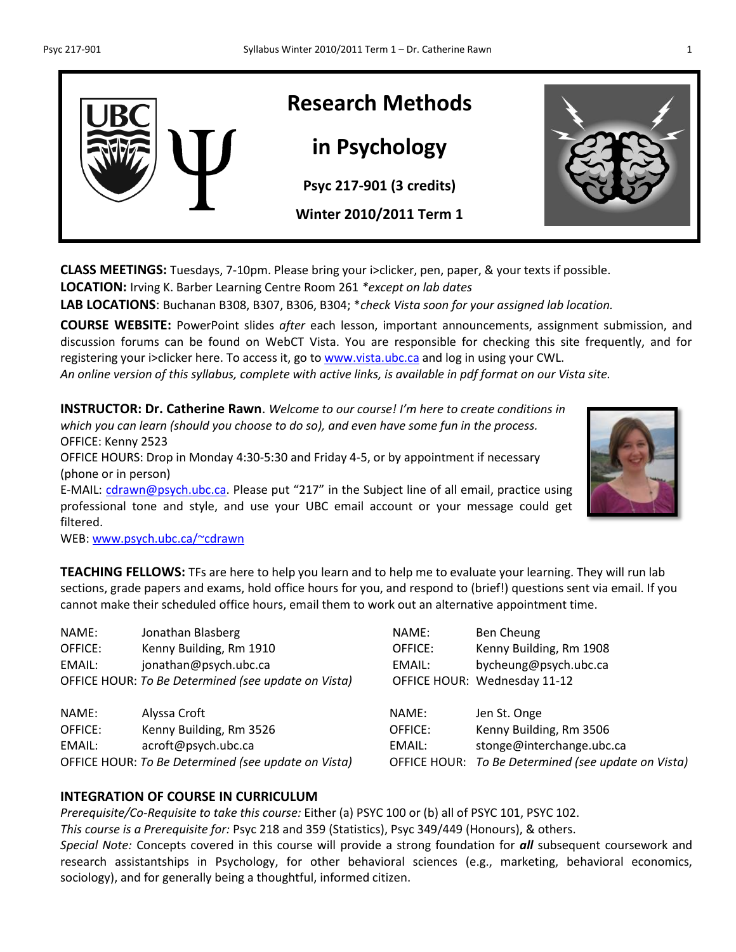

**CLASS MEETINGS:** Tuesdays, 7-10pm. Please bring your i>clicker, pen, paper, & your texts if possible.

**LOCATION:** Irving K. Barber Learning Centre Room 261 *\*except on lab dates*

**LAB LOCATIONS**: Buchanan B308, B307, B306, B304; \**check Vista soon for your assigned lab location.*

**COURSE WEBSITE:** PowerPoint slides *after* each lesson, important announcements, assignment submission, and discussion forums can be found on WebCT Vista. You are responsible for checking this site frequently, and for registering your i>clicker here. To access it, go to [www.vista.ubc.ca](http://www.vista.ubc.ca/) and log in using your CWL.

*An online version of this syllabus, complete with active links, is available in pdf format on our Vista site.*

**INSTRUCTOR: Dr. Catherine Rawn**. *Welcome to our course! I'm here to create conditions in which you can learn (should you choose to do so), and even have some fun in the process.*  OFFICE: Kenny 2523 OFFICE HOURS: Drop in Monday 4:30-5:30 and Friday 4-5, or by appointment if necessary (phone or in person) E-MAIL: [cdrawn@psych.ubc.ca.](mailto:cdrawn@psych.ubc.ca) Please put "217" in the Subject line of all email, practice using professional tone and style, and use your UBC email account or your message could get



filtered.

WEB: [www.psych.ubc.ca/~cdrawn](http://www.psych.ubc.ca/~cdrawn)

**TEACHING FELLOWS:** TFs are here to help you learn and to help me to evaluate your learning. They will run lab sections, grade papers and exams, hold office hours for you, and respond to (brief!) questions sent via email. If you cannot make their scheduled office hours, email them to work out an alternative appointment time.

NAME: Jonathan Blasberg OFFICE: Kenny Building, Rm 1910 EMAIL: jonathan@psych.ubc.ca OFFICE HOUR: To Be Determined (see update on Vista)

NAME: Alyssa Croft OFFICE: Kenny Building, Rm 3526 OFFICE: Kenny Building, Rm 3506 EMAIL: acroft@psych.ubc.ca EMAIL: stonge@interchange.ubc.ca

| NAME:   | Ben Cheung                   |
|---------|------------------------------|
| OFFICE: | Kenny Building, Rm 1908      |
| FMAIL:  | bycheung@psych.ubc.ca        |
|         | OFFICE HOUR: Wednesday 11-12 |
|         |                              |
| NAMF:   | Jen St. Onge                 |

OFFICE HOUR: *To Be Determined (see update on Vista)* OFFICE HOUR: *To Be Determined (see update on Vista)*

## **INTEGRATION OF COURSE IN CURRICULUM**

*Prerequisite/Co-Requisite to take this course:* Either (a) PSYC 100 or (b) all of PSYC 101, PSYC 102. *This course is a Prerequisite for:* Psyc 218 and 359 (Statistics), Psyc 349/449 (Honours), & others. *Special Note:* Concepts covered in this course will provide a strong foundation for *all* subsequent coursework and research assistantships in Psychology, for other behavioral sciences (e.g., marketing, behavioral economics, sociology), and for generally being a thoughtful, informed citizen.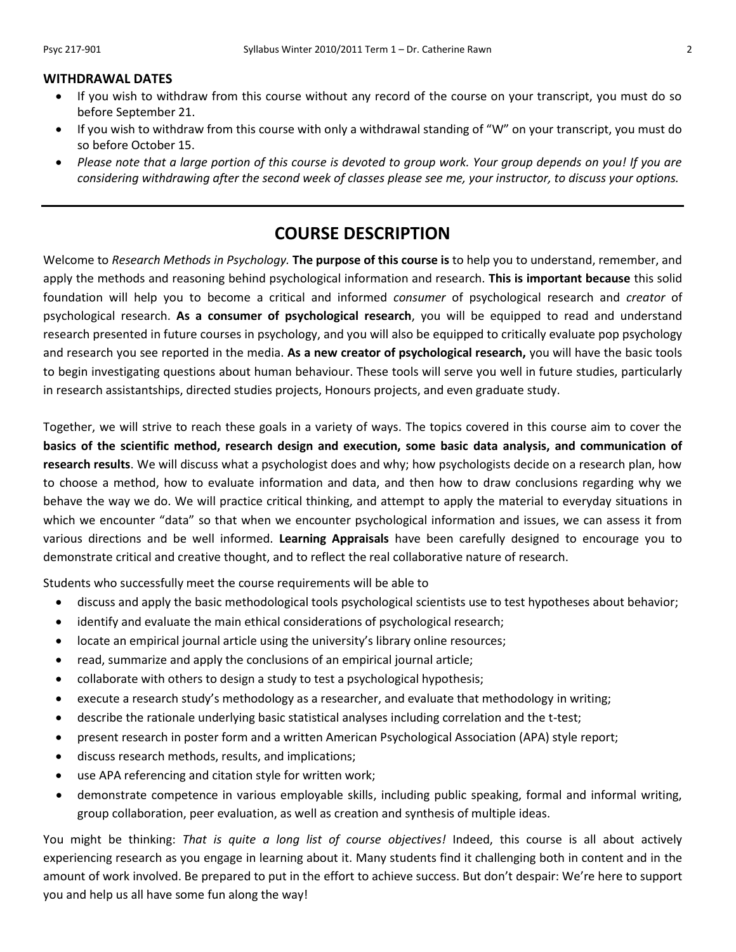- If you wish to withdraw from this course without any record of the course on your transcript, you must do so before September 21.
- If you wish to withdraw from this course with only a withdrawal standing of "W" on your transcript, you must do so before October 15.
- *Please note that a large portion of this course is devoted to group work. Your group depends on you! If you are considering withdrawing after the second week of classes please see me, your instructor, to discuss your options.*

## **COURSE DESCRIPTION**

Welcome to *Research Methods in Psychology.* **The purpose of this course is** to help you to understand, remember, and apply the methods and reasoning behind psychological information and research. **This is important because** this solid foundation will help you to become a critical and informed *consumer* of psychological research and *creator* of psychological research. **As a consumer of psychological research**, you will be equipped to read and understand research presented in future courses in psychology, and you will also be equipped to critically evaluate pop psychology and research you see reported in the media. **As a new creator of psychological research,** you will have the basic tools to begin investigating questions about human behaviour. These tools will serve you well in future studies, particularly in research assistantships, directed studies projects, Honours projects, and even graduate study.

Together, we will strive to reach these goals in a variety of ways. The topics covered in this course aim to cover the **basics of the scientific method, research design and execution, some basic data analysis, and communication of research results**. We will discuss what a psychologist does and why; how psychologists decide on a research plan, how to choose a method, how to evaluate information and data, and then how to draw conclusions regarding why we behave the way we do. We will practice critical thinking, and attempt to apply the material to everyday situations in which we encounter "data" so that when we encounter psychological information and issues, we can assess it from various directions and be well informed. **Learning Appraisals** have been carefully designed to encourage you to demonstrate critical and creative thought, and to reflect the real collaborative nature of research.

Students who successfully meet the course requirements will be able to

- discuss and apply the basic methodological tools psychological scientists use to test hypotheses about behavior;
- identify and evaluate the main ethical considerations of psychological research;
- locate an empirical journal article using the university's library online resources;
- read, summarize and apply the conclusions of an empirical journal article;
- collaborate with others to design a study to test a psychological hypothesis;
- execute a research study's methodology as a researcher, and evaluate that methodology in writing;
- describe the rationale underlying basic statistical analyses including correlation and the t-test;
- present research in poster form and a written American Psychological Association (APA) style report;
- discuss research methods, results, and implications;
- use APA referencing and citation style for written work;
- demonstrate competence in various employable skills, including public speaking, formal and informal writing, group collaboration, peer evaluation, as well as creation and synthesis of multiple ideas.

You might be thinking: *That is quite a long list of course objectives!* Indeed, this course is all about actively experiencing research as you engage in learning about it. Many students find it challenging both in content and in the amount of work involved. Be prepared to put in the effort to achieve success. But don't despair: We're here to support you and help us all have some fun along the way!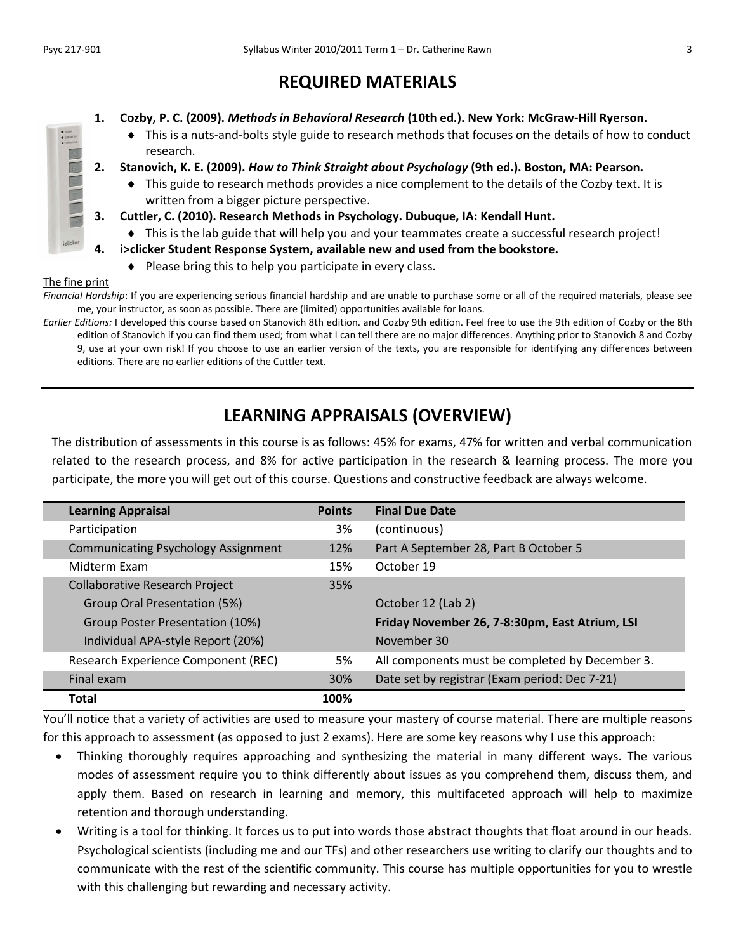# **REQUIRED MATERIALS**

- **1. Cozby, P. C. (2009).** *Methods in Behavioral Research* **(10th ed.). New York: McGraw-Hill Ryerson.**
	- This is a nuts-and-bolts style guide to research methods that focuses on the details of how to conduct research.
- **2. Stanovich, K. E. (2009).** *How to Think Straight about Psychology* **(9th ed.). Boston, MA: Pearson.**
	- This guide to research methods provides a nice complement to the details of the Cozby text. It is written from a bigger picture perspective.
- **3. Cuttler, C. (2010). Research Methods in Psychology. Dubuque, IA: Kendall Hunt.**
- This is the lab guide that will help you and your teammates create a successful research project!
- **4. i>clicker Student Response System, available new and used from the bookstore.**
	- $\bullet$  Please bring this to help you participate in every class.

#### The fine print

*Financial Hardship*: If you are experiencing serious financial hardship and are unable to purchase some or all of the required materials, please see me, your instructor, as soon as possible. There are (limited) opportunities available for loans.

*Earlier Editions:* I developed this course based on Stanovich 8th edition. and Cozby 9th edition. Feel free to use the 9th edition of Cozby or the 8th edition of Stanovich if you can find them used; from what I can tell there are no major differences. Anything prior to Stanovich 8 and Cozby 9, use at your own risk! If you choose to use an earlier version of the texts, you are responsible for identifying any differences between editions. There are no earlier editions of the Cuttler text.

# **LEARNING APPRAISALS (OVERVIEW)**

The distribution of assessments in this course is as follows: 45% for exams, 47% for written and verbal communication related to the research process, and 8% for active participation in the research & learning process. The more you participate, the more you will get out of this course. Questions and constructive feedback are always welcome.

| <b>Learning Appraisal</b>                  | <b>Points</b> | <b>Final Due Date</b>                           |
|--------------------------------------------|---------------|-------------------------------------------------|
| Participation                              | 3%            | (continuous)                                    |
| <b>Communicating Psychology Assignment</b> | 12%           | Part A September 28, Part B October 5           |
| Midterm Fxam                               | 15%           | October 19                                      |
| <b>Collaborative Research Project</b>      | 35%           |                                                 |
| Group Oral Presentation (5%)               |               | October 12 (Lab 2)                              |
| Group Poster Presentation (10%)            |               | Friday November 26, 7-8:30pm, East Atrium, LSI  |
| Individual APA-style Report (20%)          |               | November 30                                     |
| Research Experience Component (REC)        | 5%            | All components must be completed by December 3. |
| Final exam                                 | 30%           | Date set by registrar (Exam period: Dec 7-21)   |
| <b>Total</b>                               | 100%          |                                                 |

You'll notice that a variety of activities are used to measure your mastery of course material. There are multiple reasons for this approach to assessment (as opposed to just 2 exams). Here are some key reasons why I use this approach:

- Thinking thoroughly requires approaching and synthesizing the material in many different ways. The various modes of assessment require you to think differently about issues as you comprehend them, discuss them, and apply them. Based on research in learning and memory, this multifaceted approach will help to maximize retention and thorough understanding.
- Writing is a tool for thinking. It forces us to put into words those abstract thoughts that float around in our heads. Psychological scientists (including me and our TFs) and other researchers use writing to clarify our thoughts and to communicate with the rest of the scientific community. This course has multiple opportunities for you to wrestle with this challenging but rewarding and necessary activity.

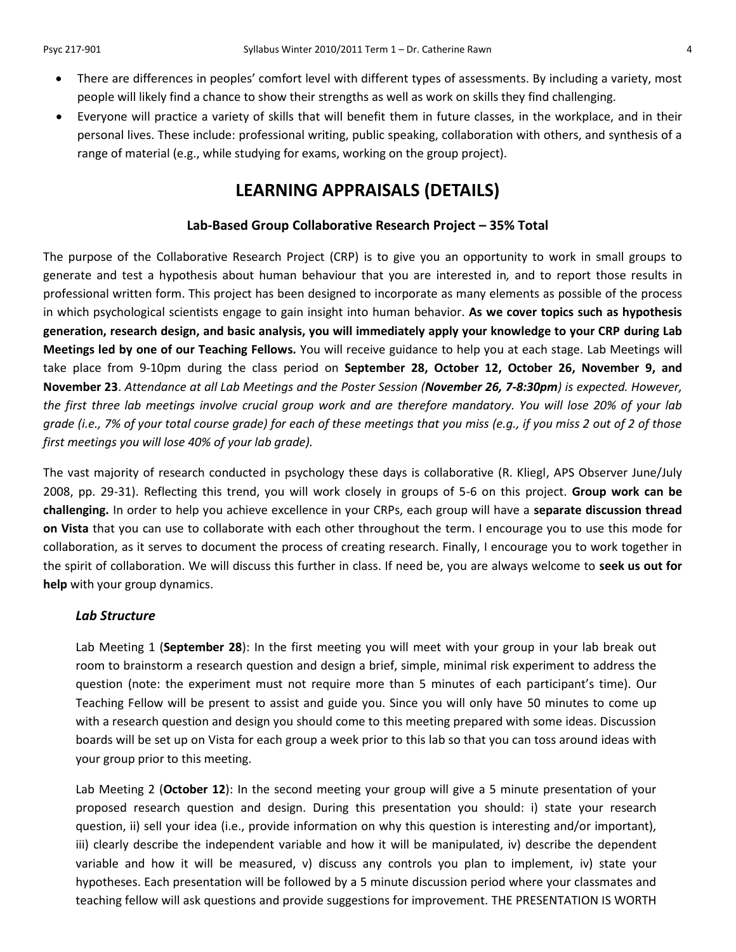- There are differences in peoples' comfort level with different types of assessments. By including a variety, most people will likely find a chance to show their strengths as well as work on skills they find challenging.
- Everyone will practice a variety of skills that will benefit them in future classes, in the workplace, and in their personal lives. These include: professional writing, public speaking, collaboration with others, and synthesis of a range of material (e.g., while studying for exams, working on the group project).

## **LEARNING APPRAISALS (DETAILS)**

### **Lab-Based Group Collaborative Research Project – 35% Total**

The purpose of the Collaborative Research Project (CRP) is to give you an opportunity to work in small groups to generate and test a hypothesis about human behaviour that you are interested in*,* and to report those results in professional written form. This project has been designed to incorporate as many elements as possible of the process in which psychological scientists engage to gain insight into human behavior. **As we cover topics such as hypothesis generation, research design, and basic analysis, you will immediately apply your knowledge to your CRP during Lab Meetings led by one of our Teaching Fellows.** You will receive guidance to help you at each stage. Lab Meetings will take place from 9-10pm during the class period on **September 28, October 12, October 26, November 9, and November 23**. *Attendance at all Lab Meetings and the Poster Session (November 26, 7-8:30pm) is expected. However, the first three lab meetings involve crucial group work and are therefore mandatory. You will lose 20% of your lab grade (i.e., 7% of your total course grade) for each of these meetings that you miss (e.g., if you miss 2 out of 2 of those first meetings you will lose 40% of your lab grade).*

The vast majority of research conducted in psychology these days is collaborative (R. Kliegl, APS Observer June/July 2008, pp. 29-31). Reflecting this trend, you will work closely in groups of 5-6 on this project. **Group work can be challenging.** In order to help you achieve excellence in your CRPs, each group will have a **separate discussion thread on Vista** that you can use to collaborate with each other throughout the term. I encourage you to use this mode for collaboration, as it serves to document the process of creating research. Finally, I encourage you to work together in the spirit of collaboration. We will discuss this further in class. If need be, you are always welcome to **seek us out for help** with your group dynamics.

#### *Lab Structure*

Lab Meeting 1 (**September 28**): In the first meeting you will meet with your group in your lab break out room to brainstorm a research question and design a brief, simple, minimal risk experiment to address the question (note: the experiment must not require more than 5 minutes of each participant's time). Our Teaching Fellow will be present to assist and guide you. Since you will only have 50 minutes to come up with a research question and design you should come to this meeting prepared with some ideas. Discussion boards will be set up on Vista for each group a week prior to this lab so that you can toss around ideas with your group prior to this meeting.

Lab Meeting 2 (**October 12**): In the second meeting your group will give a 5 minute presentation of your proposed research question and design. During this presentation you should: i) state your research question, ii) sell your idea (i.e., provide information on why this question is interesting and/or important), iii) clearly describe the independent variable and how it will be manipulated, iv) describe the dependent variable and how it will be measured, v) discuss any controls you plan to implement, iv) state your hypotheses. Each presentation will be followed by a 5 minute discussion period where your classmates and teaching fellow will ask questions and provide suggestions for improvement. THE PRESENTATION IS WORTH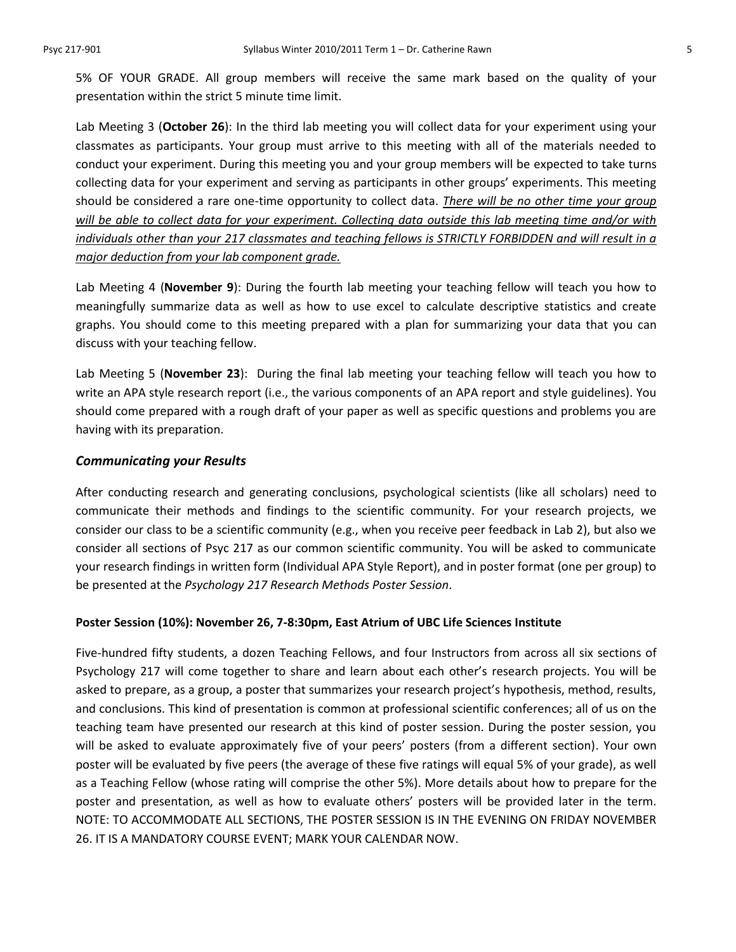5% OF YOUR GRADE. All group members will receive the same mark based on the quality of your presentation within the strict 5 minute time limit.

Lab Meeting 3 (**October 26**): In the third lab meeting you will collect data for your experiment using your classmates as participants. Your group must arrive to this meeting with all of the materials needed to conduct your experiment. During this meeting you and your group members will be expected to take turns collecting data for your experiment and serving as participants in other groups' experiments. This meeting should be considered a rare one-time opportunity to collect data. *There will be no other time your group will be able to collect data for your experiment. Collecting data outside this lab meeting time and/or with individuals other than your 217 classmates and teaching fellows is STRICTLY FORBIDDEN and will result in a major deduction from your lab component grade.*

Lab Meeting 4 (**November 9**): During the fourth lab meeting your teaching fellow will teach you how to meaningfully summarize data as well as how to use excel to calculate descriptive statistics and create graphs. You should come to this meeting prepared with a plan for summarizing your data that you can discuss with your teaching fellow.

Lab Meeting 5 (**November 23**): During the final lab meeting your teaching fellow will teach you how to write an APA style research report (i.e., the various components of an APA report and style guidelines). You should come prepared with a rough draft of your paper as well as specific questions and problems you are having with its preparation.

#### *Communicating your Results*

After conducting research and generating conclusions, psychological scientists (like all scholars) need to communicate their methods and findings to the scientific community. For your research projects, we consider our class to be a scientific community (e.g., when you receive peer feedback in Lab 2), but also we consider all sections of Psyc 217 as our common scientific community. You will be asked to communicate your research findings in written form (Individual APA Style Report), and in poster format (one per group) to be presented at the *Psychology 217 Research Methods Poster Session*.

#### **Poster Session (10%): November 26, 7-8:30pm, East Atrium of UBC Life Sciences Institute**

Five-hundred fifty students, a dozen Teaching Fellows, and four Instructors from across all six sections of Psychology 217 will come together to share and learn about each other's research projects. You will be asked to prepare, as a group, a poster that summarizes your research project's hypothesis, method, results, and conclusions. This kind of presentation is common at professional scientific conferences; all of us on the teaching team have presented our research at this kind of poster session. During the poster session, you will be asked to evaluate approximately five of your peers' posters (from a different section). Your own poster will be evaluated by five peers (the average of these five ratings will equal 5% of your grade), as well as a Teaching Fellow (whose rating will comprise the other 5%). More details about how to prepare for the poster and presentation, as well as how to evaluate others' posters will be provided later in the term. NOTE: TO ACCOMMODATE ALL SECTIONS, THE POSTER SESSION IS IN THE EVENING ON FRIDAY NOVEMBER 26. IT IS A MANDATORY COURSE EVENT; MARK YOUR CALENDAR NOW.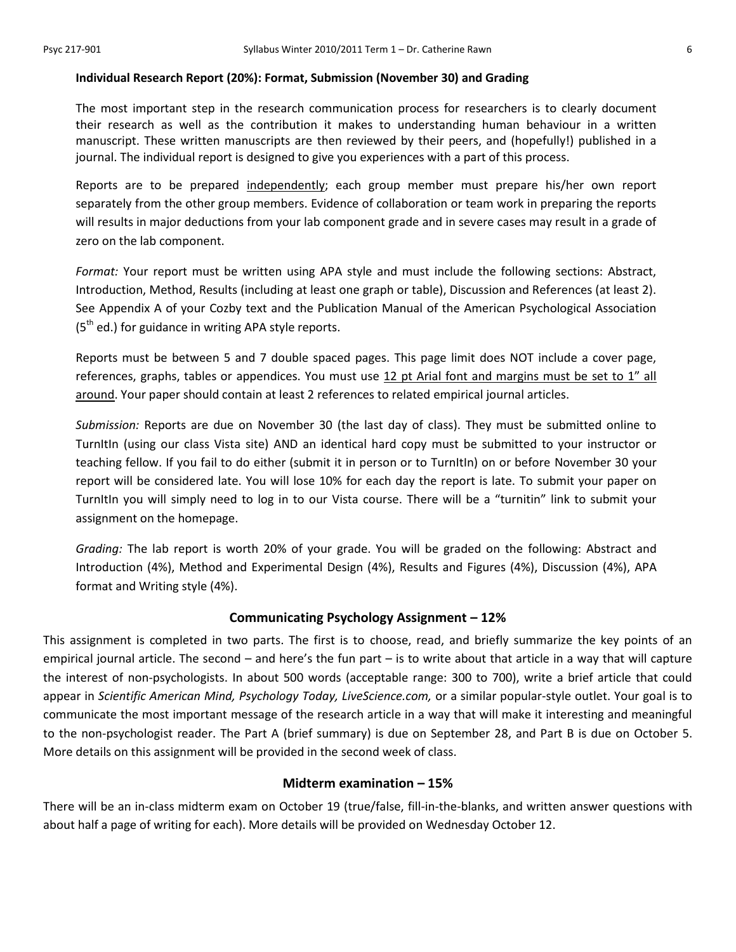#### **Individual Research Report (20%): Format, Submission (November 30) and Grading**

The most important step in the research communication process for researchers is to clearly document their research as well as the contribution it makes to understanding human behaviour in a written manuscript. These written manuscripts are then reviewed by their peers, and (hopefully!) published in a journal. The individual report is designed to give you experiences with a part of this process.

Reports are to be prepared independently; each group member must prepare his/her own report separately from the other group members. Evidence of collaboration or team work in preparing the reports will results in major deductions from your lab component grade and in severe cases may result in a grade of zero on the lab component.

*Format:* Your report must be written using APA style and must include the following sections: Abstract, Introduction, Method, Results (including at least one graph or table), Discussion and References (at least 2). See Appendix A of your Cozby text and the Publication Manual of the American Psychological Association  $(5<sup>th</sup>$  ed.) for guidance in writing APA style reports.

Reports must be between 5 and 7 double spaced pages. This page limit does NOT include a cover page, references, graphs, tables or appendices. You must use  $12$  pt Arial font and margins must be set to  $1''$  all around. Your paper should contain at least 2 references to related empirical journal articles.

*Submission:* Reports are due on November 30 (the last day of class). They must be submitted online to TurnItIn (using our class Vista site) AND an identical hard copy must be submitted to your instructor or teaching fellow. If you fail to do either (submit it in person or to TurnItIn) on or before November 30 your report will be considered late. You will lose 10% for each day the report is late. To submit your paper on TurnItIn you will simply need to log in to our Vista course. There will be a "turnitin" link to submit your assignment on the homepage.

*Grading:* The lab report is worth 20% of your grade. You will be graded on the following: Abstract and Introduction (4%), Method and Experimental Design (4%), Results and Figures (4%), Discussion (4%), APA format and Writing style (4%).

## **Communicating Psychology Assignment – 12%**

This assignment is completed in two parts. The first is to choose, read, and briefly summarize the key points of an empirical journal article. The second – and here's the fun part – is to write about that article in a way that will capture the interest of non-psychologists. In about 500 words (acceptable range: 300 to 700), write a brief article that could appear in *Scientific American Mind, Psychology Today, LiveScience.com,* or a similar popular-style outlet. Your goal is to communicate the most important message of the research article in a way that will make it interesting and meaningful to the non-psychologist reader. The Part A (brief summary) is due on September 28, and Part B is due on October 5. More details on this assignment will be provided in the second week of class.

#### **Midterm examination – 15%**

There will be an in-class midterm exam on October 19 (true/false, fill-in-the-blanks, and written answer questions with about half a page of writing for each). More details will be provided on Wednesday October 12.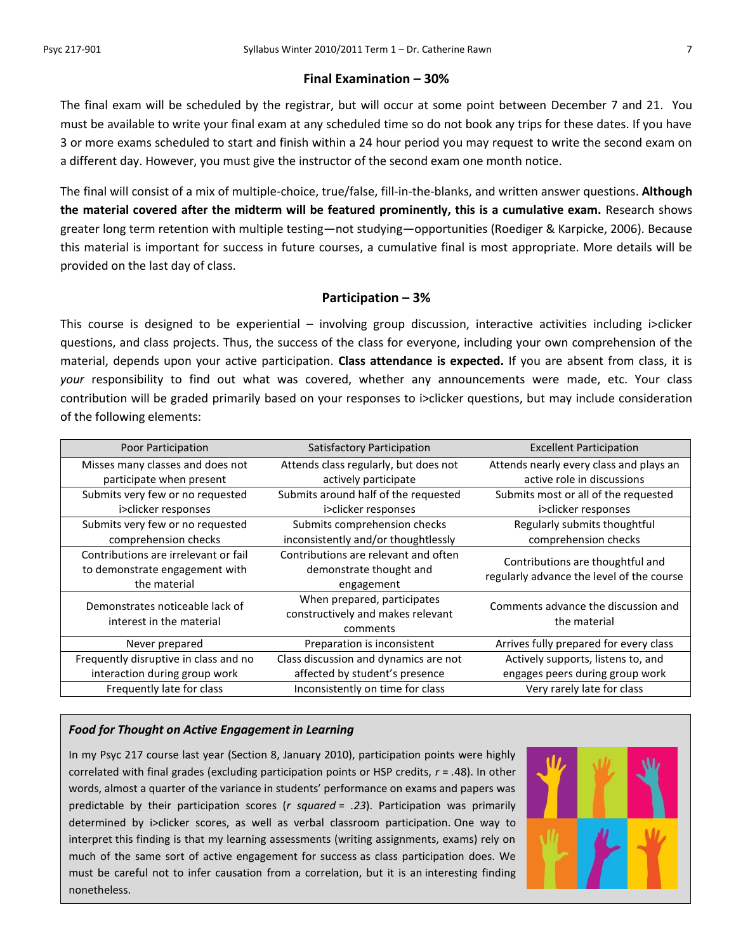#### **Final Examination – 30%**

The final exam will be scheduled by the registrar, but will occur at some point between December 7 and 21. You must be available to write your final exam at any scheduled time so do not book any trips for these dates. If you have 3 or more exams scheduled to start and finish within a 24 hour period you may request to write the second exam on a different day. However, you must give the instructor of the second exam one month notice.

The final will consist of a mix of multiple-choice, true/false, fill-in-the-blanks, and written answer questions. **Although the material covered after the midterm will be featured prominently, this is a cumulative exam.** Research shows greater long term retention with multiple testing—not studying—opportunities (Roediger & Karpicke, 2006). Because this material is important for success in future courses, a cumulative final is most appropriate. More details will be provided on the last day of class.

## **Participation – 3%**

This course is designed to be experiential – involving group discussion, interactive activities including i>clicker questions, and class projects. Thus, the success of the class for everyone, including your own comprehension of the material, depends upon your active participation. **Class attendance is expected.** If you are absent from class, it is *your* responsibility to find out what was covered, whether any announcements were made, etc. Your class contribution will be graded primarily based on your responses to i>clicker questions, but may include consideration of the following elements:

| Poor Participation                                                                     | <b>Satisfactory Participation</b>                                             | <b>Excellent Participation</b>                                                |  |
|----------------------------------------------------------------------------------------|-------------------------------------------------------------------------------|-------------------------------------------------------------------------------|--|
| Misses many classes and does not<br>participate when present                           | Attends class regularly, but does not<br>actively participate                 | Attends nearly every class and plays an<br>active role in discussions         |  |
| Submits very few or no requested<br>i>clicker responses                                | Submits around half of the requested<br>i>clicker responses                   | Submits most or all of the requested<br>i>clicker responses                   |  |
| Submits very few or no requested<br>comprehension checks                               | Submits comprehension checks<br>inconsistently and/or thoughtlessly           | Regularly submits thoughtful<br>comprehension checks                          |  |
| Contributions are irrelevant or fail<br>to demonstrate engagement with<br>the material | Contributions are relevant and often<br>demonstrate thought and<br>engagement | Contributions are thoughtful and<br>regularly advance the level of the course |  |
| Demonstrates noticeable lack of<br>interest in the material                            | When prepared, participates<br>constructively and makes relevant<br>comments  | Comments advance the discussion and<br>the material                           |  |
| Never prepared                                                                         | Preparation is inconsistent                                                   | Arrives fully prepared for every class                                        |  |
| Frequently disruptive in class and no                                                  | Class discussion and dynamics are not                                         | Actively supports, listens to, and                                            |  |
| interaction during group work                                                          | affected by student's presence                                                | engages peers during group work                                               |  |
| Frequently late for class                                                              | Inconsistently on time for class                                              | Very rarely late for class                                                    |  |

#### *Food for Thought on Active Engagement in Learning*

In my Psyc 217 course last year (Section 8, January 2010), participation points were highly correlated with final grades (excluding participation points or HSP credits, *r* = *.*48). In other words, almost a quarter of the variance in students' performance on exams and papers was predictable by their participation scores (*r squared* = *.23*). Participation was primarily determined by i>clicker scores, as well as verbal classroom participation. One way to interpret this finding is that my learning assessments (writing assignments, exams) rely on much of the same sort of active engagement for success as class participation does. We must be careful not to infer causation from a correlation, but it is an interesting finding nonetheless.

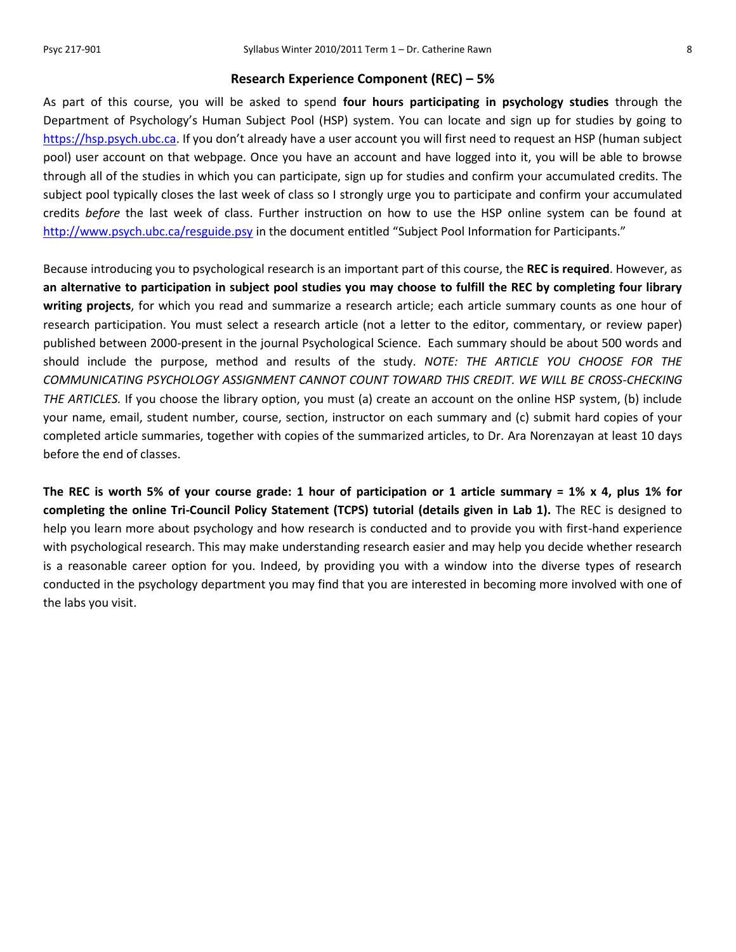#### **Research Experience Component (REC) – 5%**

As part of this course, you will be asked to spend **four hours participating in psychology studies** through the Department of Psychology's Human Subject Pool (HSP) system. You can locate and sign up for studies by going to [https://hsp.psych.ubc.ca](https://hsp.psych.ubc.ca/). If you don't already have a user account you will first need to request an HSP (human subject pool) user account on that webpage. Once you have an account and have logged into it, you will be able to browse through all of the studies in which you can participate, sign up for studies and confirm your accumulated credits. The subject pool typically closes the last week of class so I strongly urge you to participate and confirm your accumulated credits *before* the last week of class. Further instruction on how to use the HSP online system can be found at <http://www.psych.ubc.ca/resguide.psy> in the document entitled "Subject Pool Information for Participants."

Because introducing you to psychological research is an important part of this course, the **REC is required**. However, as **an alternative to participation in subject pool studies you may choose to fulfill the REC by completing four library writing projects**, for which you read and summarize a research article; each article summary counts as one hour of research participation. You must select a research article (not a letter to the editor, commentary, or review paper) published between 2000-present in the journal Psychological Science. Each summary should be about 500 words and should include the purpose, method and results of the study. *NOTE: THE ARTICLE YOU CHOOSE FOR THE COMMUNICATING PSYCHOLOGY ASSIGNMENT CANNOT COUNT TOWARD THIS CREDIT. WE WILL BE CROSS-CHECKING THE ARTICLES.* If you choose the library option, you must (a) create an account on the online HSP system, (b) include your name, email, student number, course, section, instructor on each summary and (c) submit hard copies of your completed article summaries, together with copies of the summarized articles, to Dr. Ara Norenzayan at least 10 days before the end of classes.

**The REC is worth 5% of your course grade: 1 hour of participation or 1 article summary = 1% x 4, plus 1% for completing the online Tri-Council Policy Statement (TCPS) tutorial (details given in Lab 1).** The REC is designed to help you learn more about psychology and how research is conducted and to provide you with first-hand experience with psychological research. This may make understanding research easier and may help you decide whether research is a reasonable career option for you. Indeed, by providing you with a window into the diverse types of research conducted in the psychology department you may find that you are interested in becoming more involved with one of the labs you visit.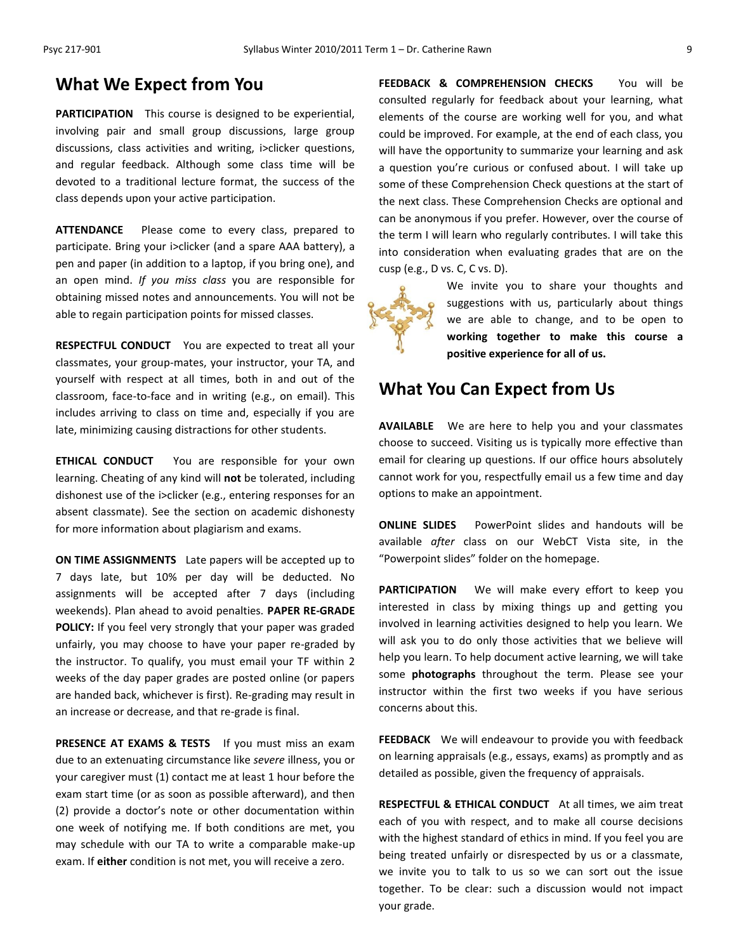## **What We Expect from You**

**PARTICIPATION** This course is designed to be experiential, involving pair and small group discussions, large group discussions, class activities and writing, i>clicker questions, and regular feedback. Although some class time will be devoted to a traditional lecture format, the success of the class depends upon your active participation.

**ATTENDANCE** Please come to every class, prepared to participate. Bring your i>clicker (and a spare AAA battery), a pen and paper (in addition to a laptop, if you bring one), and an open mind. *If you miss class* you are responsible for obtaining missed notes and announcements. You will not be able to regain participation points for missed classes.

**RESPECTFUL CONDUCT** You are expected to treat all your classmates, your group-mates, your instructor, your TA, and yourself with respect at all times, both in and out of the classroom, face-to-face and in writing (e.g., on email). This includes arriving to class on time and, especially if you are late, minimizing causing distractions for other students.

**ETHICAL CONDUCT** You are responsible for your own learning. Cheating of any kind will **not** be tolerated, including dishonest use of the i>clicker (e.g., entering responses for an absent classmate). See the section on academic dishonesty for more information about plagiarism and exams.

**ON TIME ASSIGNMENTS** Late papers will be accepted up to 7 days late, but 10% per day will be deducted. No assignments will be accepted after 7 days (including weekends). Plan ahead to avoid penalties. **PAPER RE-GRADE POLICY:** If you feel very strongly that your paper was graded unfairly, you may choose to have your paper re-graded by the instructor. To qualify, you must email your TF within 2 weeks of the day paper grades are posted online (or papers are handed back, whichever is first). Re-grading may result in an increase or decrease, and that re-grade is final.

**PRESENCE AT EXAMS & TESTS** If you must miss an exam due to an extenuating circumstance like *severe* illness, you or your caregiver must (1) contact me at least 1 hour before the exam start time (or as soon as possible afterward), and then (2) provide a doctor's note or other documentation within one week of notifying me. If both conditions are met, you may schedule with our TA to write a comparable make-up exam. If **either** condition is not met, you will receive a zero.

**FEEDBACK & COMPREHENSION CHECKS** You will be consulted regularly for feedback about your learning, what elements of the course are working well for you, and what could be improved. For example, at the end of each class, you will have the opportunity to summarize your learning and ask a question you're curious or confused about. I will take up some of these Comprehension Check questions at the start of the next class. These Comprehension Checks are optional and can be anonymous if you prefer. However, over the course of the term I will learn who regularly contributes. I will take this into consideration when evaluating grades that are on the cusp (e.g., D vs. C, C vs. D).



We invite you to share your thoughts and suggestions with us, particularly about things we are able to change, and to be open to **working together to make this course a positive experience for all of us.**

## **What You Can Expect from Us**

**AVAILABLE** We are here to help you and your classmates choose to succeed. Visiting us is typically more effective than email for clearing up questions. If our office hours absolutely cannot work for you, respectfully email us a few time and day options to make an appointment.

**ONLINE SLIDES** PowerPoint slides and handouts will be available *after* class on our WebCT Vista site, in the "Powerpoint slides" folder on the homepage.

**PARTICIPATION** We will make every effort to keep you interested in class by mixing things up and getting you involved in learning activities designed to help you learn. We will ask you to do only those activities that we believe will help you learn. To help document active learning, we will take some **photographs** throughout the term. Please see your instructor within the first two weeks if you have serious concerns about this.

**FEEDBACK** We will endeavour to provide you with feedback on learning appraisals (e.g., essays, exams) as promptly and as detailed as possible, given the frequency of appraisals.

**RESPECTFUL & ETHICAL CONDUCT** At all times, we aim treat each of you with respect, and to make all course decisions with the highest standard of ethics in mind. If you feel you are being treated unfairly or disrespected by us or a classmate, we invite you to talk to us so we can sort out the issue together. To be clear: such a discussion would not impact your grade.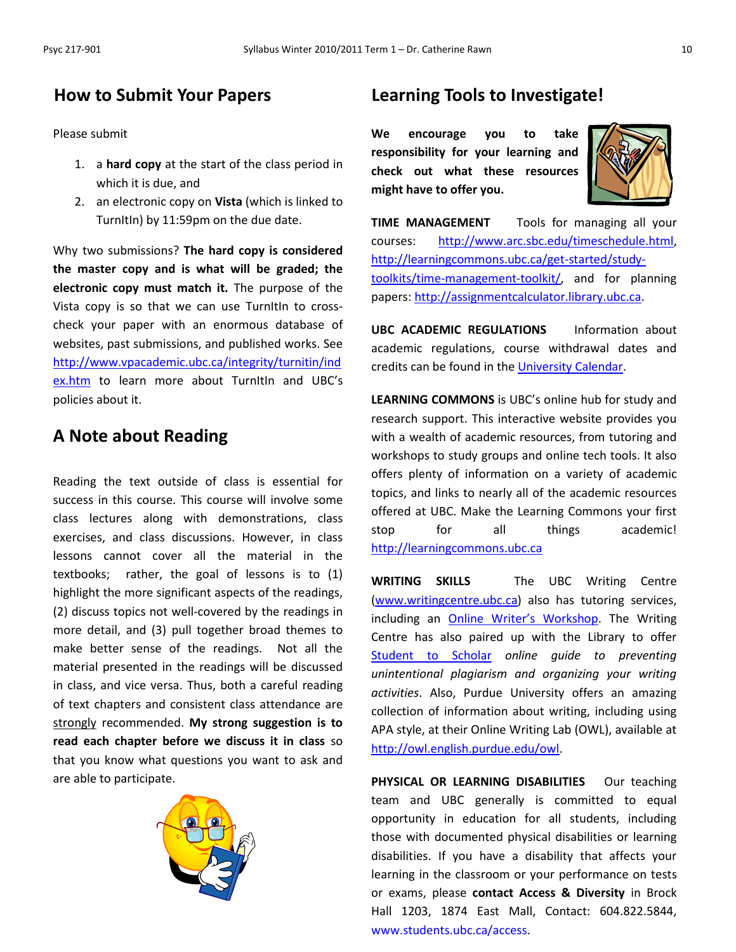## **How to Submit Your Papers**

Please submit

- 1. a **hard copy** at the start of the class period in which it is due, and
- 2. an electronic copy on **Vista** (which is linked to TurnItIn) by 11:59pm on the due date.

Why two submissions? **The hard copy is considered the master copy and is what will be graded; the electronic copy must match it.** The purpose of the Vista copy is so that we can use TurnItIn to crosscheck your paper with an enormous database of websites, past submissions, and published works. See [http://www.vpacademic.ubc.ca/integrity/turnitin/ind](http://www.vpacademic.ubc.ca/integrity/turnitin/index.htm) [ex.htm](http://www.vpacademic.ubc.ca/integrity/turnitin/index.htm) to learn more about Turnitin and UBC's policies about it.

## **A Note about Reading**

Reading the text outside of class is essential for success in this course. This course will involve some class lectures along with demonstrations, class exercises, and class discussions. However, in class lessons cannot cover all the material in the textbooks; rather, the goal of lessons is to (1) highlight the more significant aspects of the readings, (2) discuss topics not well-covered by the readings in more detail, and (3) pull together broad themes to make better sense of the readings. Not all the material presented in the readings will be discussed in class, and vice versa. Thus, both a careful reading of text chapters and consistent class attendance are strongly recommended. **My strong suggestion is to read each chapter before we discuss it in class** so that you know what questions you want to ask and are able to participate.



## **Learning Tools to Investigate!**

**We encourage you to take responsibility for your learning and check out what these resources might have to offer you.**



**TIME MANAGEMENT** Tools for managing all your courses: [http://www.arc.sbc.edu/timeschedule.html,](http://www.arc.sbc.edu/timeschedule.html) [http://learningcommons.ubc.ca/get-started/study](http://learningcommons.ubc.ca/get-started/study-toolkits/time-management-toolkit/)[toolkits/time-management-toolkit/,](http://learningcommons.ubc.ca/get-started/study-toolkits/time-management-toolkit/) and for planning papers: [http://assignmentcalculator.library.ubc.ca.](http://assignmentcalculator.library.ubc.ca/)

**UBC ACADEMIC REGULATIONS** Information about academic regulations, course withdrawal dates and credits can be found in the [University Calendar.](http://students.ubc.ca/calendar/academicyear.cfm)

**LEARNING COMMONS** is UBC's online hub for study and research support. This interactive website provides you with a wealth of academic resources, from tutoring and workshops to study groups and online tech tools. It also offers plenty of information on a variety of academic topics, and links to nearly all of the academic resources offered at UBC. Make the Learning Commons your first stop for all things academic! [http://learningcommons.ubc.ca](http://learningcommons.ubc.ca/)

**WRITING SKILLS** The UBC Writing Centre [\(www.writingcentre.ubc.ca\)](http://www.writingcentre.ubc.ca/) also has tutoring services, including an [Online Writer's Workshop](http://www.writingcentre.ubc.ca/workshop/index.html). The Writing Centre has also paired up with the Library to offer [Student to Scholar](http://www.library.ubc.ca/hss/instruction/sts/Whole_page.htm) *online guide to preventing unintentional plagiarism and organizing your writing activities*. Also, Purdue University offers an amazing collection of information about writing, including using APA style, at their Online Writing Lab (OWL), available at [http://owl.english.purdue.edu/owl.](http://owl.english.purdue.edu/owl/)

**PHYSICAL OR LEARNING DISABILITIES** Our teaching team and UBC generally is committed to equal opportunity in education for all students, including those with documented physical disabilities or learning disabilities. If you have a disability that affects your learning in the classroom or your performance on tests or exams, please **contact Access & Diversity** in Brock Hall 1203, 1874 East Mall, Contact: 604.822.5844, [www.students.ubc.ca/access.](http://www.students.ubc.ca/access)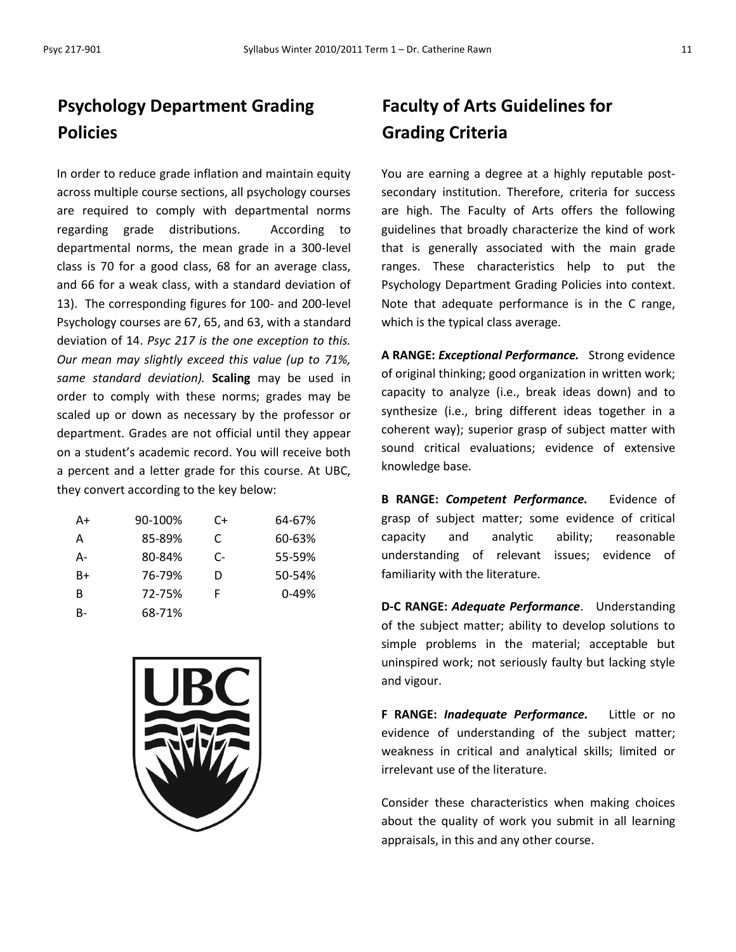# **Psychology Department Grading Policies**

In order to reduce grade inflation and maintain equity across multiple course sections, all psychology courses are required to comply with departmental norms regarding grade distributions. According to departmental norms, the mean grade in a 300-level class is 70 for a good class, 68 for an average class, and 66 for a weak class, with a standard deviation of 13). The corresponding figures for 100- and 200-level Psychology courses are 67, 65, and 63, with a standard deviation of 14. *Psyc 217 is the one exception to this. Our mean may slightly exceed this value (up to 71%, same standard deviation).* **Scaling** may be used in order to comply with these norms; grades may be scaled up or down as necessary by the professor or department. Grades are not official until they appear on a student's academic record. You will receive both a percent and a letter grade for this course. At UBC, they convert according to the key below:

| A+ | 90-100% | C+ | 64-67%    |
|----|---------|----|-----------|
| А  | 85-89%  | C  | 60-63%    |
| А- | 80-84%  | C- | 55-59%    |
| B+ | 76-79%  | D  | 50-54%    |
| R  | 72-75%  | F  | $0 - 49%$ |
| B- | 68-71%  |    |           |



# **Faculty of Arts Guidelines for Grading Criteria**

You are earning a degree at a highly reputable postsecondary institution. Therefore, criteria for success are high. The Faculty of Arts offers the following guidelines that broadly characterize the kind of work that is generally associated with the main grade ranges. These characteristics help to put the Psychology Department Grading Policies into context. Note that adequate performance is in the C range, which is the typical class average.

**A RANGE:** *Exceptional Performance.* Strong evidence of original thinking; good organization in written work; capacity to analyze (i.e., break ideas down) and to synthesize (i.e., bring different ideas together in a coherent way); superior grasp of subject matter with sound critical evaluations; evidence of extensive knowledge base.

**B RANGE:** *Competent Performance.* Evidence of grasp of subject matter; some evidence of critical capacity and analytic ability; reasonable understanding of relevant issues; evidence of familiarity with the literature.

**D-C RANGE:** *Adequate Performance*. Understanding of the subject matter; ability to develop solutions to simple problems in the material; acceptable but uninspired work; not seriously faulty but lacking style and vigour.

**F RANGE:** *Inadequate Performance.* Little or no evidence of understanding of the subject matter; weakness in critical and analytical skills; limited or irrelevant use of the literature.

Consider these characteristics when making choices about the quality of work you submit in all learning appraisals, in this and any other course.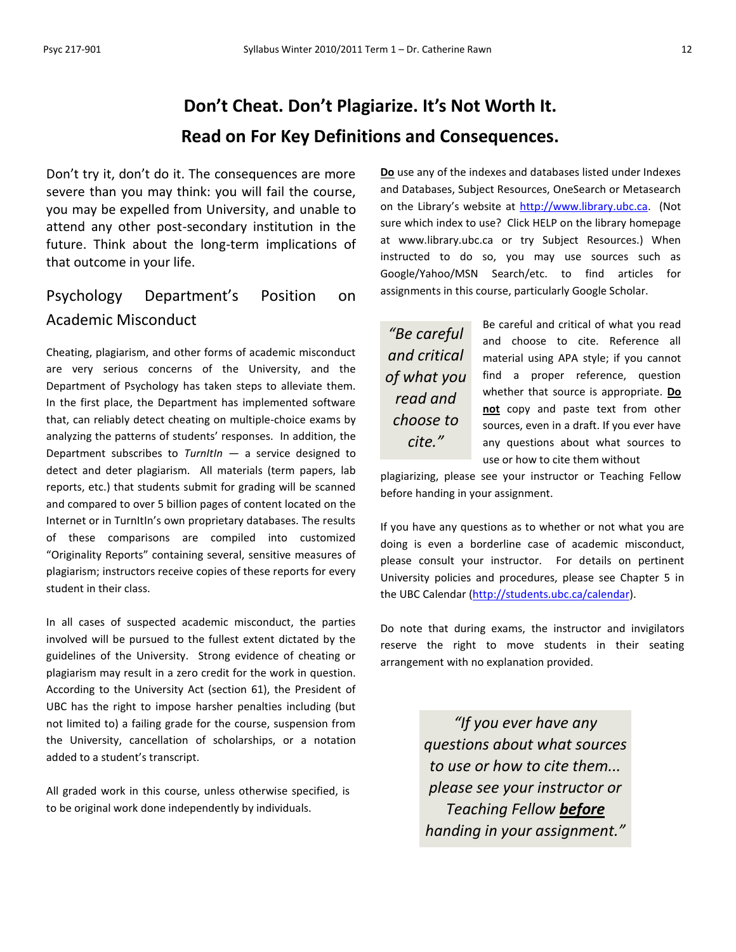# **Don't Cheat. Don't Plagiarize. It's Not Worth It. Read on For Key Definitions and Consequences.**

Don't try it, don't do it. The consequences are more severe than you may think: you will fail the course, you may be expelled from University, and unable to attend any other post-secondary institution in the future. Think about the long-term implications of that outcome in your life.

# Psychology Department's Position on Academic Misconduct

Cheating, plagiarism, and other forms of academic misconduct are very serious concerns of the University, and the Department of Psychology has taken steps to alleviate them. In the first place, the Department has implemented software that, can reliably detect cheating on multiple-choice exams by analyzing the patterns of students' responses. In addition, the Department subscribes to *TurnItIn* — a service designed to detect and deter plagiarism. All materials (term papers, lab reports, etc.) that students submit for grading will be scanned and compared to over 5 billion pages of content located on the Internet or in TurnItIn's own proprietary databases. The results of these comparisons are compiled into customized "Originality Reports" containing several, sensitive measures of plagiarism; instructors receive copies of these reports for every student in their class.

In all cases of suspected academic misconduct, the parties involved will be pursued to the fullest extent dictated by the guidelines of the University. Strong evidence of cheating or plagiarism may result in a zero credit for the work in question. According to the University Act (section 61), the President of UBC has the right to impose harsher penalties including (but not limited to) a failing grade for the course, suspension from the University, cancellation of scholarships, or a notation added to a student's transcript.

All graded work in this course, unless otherwise specified, is to be original work done independently by individuals.

**Do** use any of the indexes and databases listed under Indexes and Databases, Subject Resources, OneSearch or Metasearch on the Library's website at [http://www.library.ubc.ca.](http://www.library.ubc.ca/) (Not sure which index to use? Click HELP on the library homepage at www.library.ubc.ca or try Subject Resources.) When instructed to do so, you may use sources such as Google/Yahoo/MSN Search/etc. to find articles for assignments in this course, particularly Google Scholar.

*"Be careful and critical of what you read and choose to cite."*

Be careful and critical of what you read and choose to cite. Reference all material using APA style; if you cannot find a proper reference, question whether that source is appropriate. **Do not** copy and paste text from other sources, even in a draft. If you ever have any questions about what sources to use or how to cite them without

plagiarizing, please see your instructor or Teaching Fellow before handing in your assignment.

If you have any questions as to whether or not what you are doing is even a borderline case of academic misconduct, please consult your instructor. For details on pertinent University policies and procedures, please see Chapter 5 in the UBC Calendar [\(http://students.ubc.ca/calendar\)](http://students.ubc.ca/calendar).

Do note that during exams, the instructor and invigilators reserve the right to move students in their seating arrangement with no explanation provided.

> *"If you ever have any questions about what sources to use or how to cite them... please see your instructor or Teaching Fellow before handing in your assignment."*